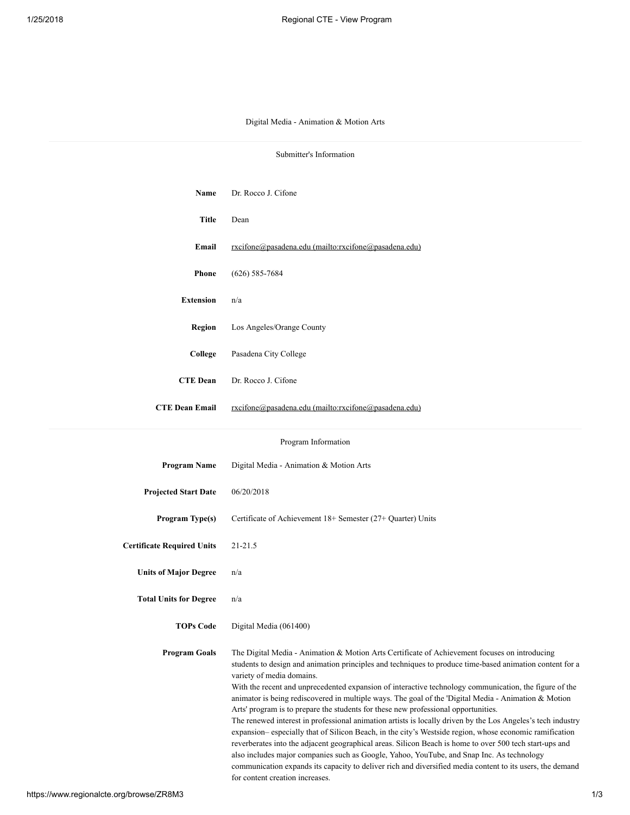## Digital Media - Animation & Motion Arts

| Submitter's Information           |                                                                                                                                                                                                                                                                                                                                                                                                                                                                                                                                                                                                                                                                                                                                                                                                                                                                                                                                                                                                                                                                                                                                 |  |  |  |  |  |
|-----------------------------------|---------------------------------------------------------------------------------------------------------------------------------------------------------------------------------------------------------------------------------------------------------------------------------------------------------------------------------------------------------------------------------------------------------------------------------------------------------------------------------------------------------------------------------------------------------------------------------------------------------------------------------------------------------------------------------------------------------------------------------------------------------------------------------------------------------------------------------------------------------------------------------------------------------------------------------------------------------------------------------------------------------------------------------------------------------------------------------------------------------------------------------|--|--|--|--|--|
|                                   |                                                                                                                                                                                                                                                                                                                                                                                                                                                                                                                                                                                                                                                                                                                                                                                                                                                                                                                                                                                                                                                                                                                                 |  |  |  |  |  |
| Name                              | Dr. Rocco J. Cifone                                                                                                                                                                                                                                                                                                                                                                                                                                                                                                                                                                                                                                                                                                                                                                                                                                                                                                                                                                                                                                                                                                             |  |  |  |  |  |
| <b>Title</b>                      | Dean                                                                                                                                                                                                                                                                                                                                                                                                                                                                                                                                                                                                                                                                                                                                                                                                                                                                                                                                                                                                                                                                                                                            |  |  |  |  |  |
| Email                             | rxcifone@pasadena.edu (mailto:rxcifone@pasadena.edu)                                                                                                                                                                                                                                                                                                                                                                                                                                                                                                                                                                                                                                                                                                                                                                                                                                                                                                                                                                                                                                                                            |  |  |  |  |  |
| <b>Phone</b>                      | $(626)$ 585-7684                                                                                                                                                                                                                                                                                                                                                                                                                                                                                                                                                                                                                                                                                                                                                                                                                                                                                                                                                                                                                                                                                                                |  |  |  |  |  |
| <b>Extension</b>                  | n/a                                                                                                                                                                                                                                                                                                                                                                                                                                                                                                                                                                                                                                                                                                                                                                                                                                                                                                                                                                                                                                                                                                                             |  |  |  |  |  |
| Region                            | Los Angeles/Orange County                                                                                                                                                                                                                                                                                                                                                                                                                                                                                                                                                                                                                                                                                                                                                                                                                                                                                                                                                                                                                                                                                                       |  |  |  |  |  |
| College                           | Pasadena City College                                                                                                                                                                                                                                                                                                                                                                                                                                                                                                                                                                                                                                                                                                                                                                                                                                                                                                                                                                                                                                                                                                           |  |  |  |  |  |
| <b>CTE Dean</b>                   | Dr. Rocco J. Cifone                                                                                                                                                                                                                                                                                                                                                                                                                                                                                                                                                                                                                                                                                                                                                                                                                                                                                                                                                                                                                                                                                                             |  |  |  |  |  |
| <b>CTE Dean Email</b>             | rxcifone@pasadena.edu (mailto:rxcifone@pasadena.edu)                                                                                                                                                                                                                                                                                                                                                                                                                                                                                                                                                                                                                                                                                                                                                                                                                                                                                                                                                                                                                                                                            |  |  |  |  |  |
|                                   |                                                                                                                                                                                                                                                                                                                                                                                                                                                                                                                                                                                                                                                                                                                                                                                                                                                                                                                                                                                                                                                                                                                                 |  |  |  |  |  |
|                                   | Program Information                                                                                                                                                                                                                                                                                                                                                                                                                                                                                                                                                                                                                                                                                                                                                                                                                                                                                                                                                                                                                                                                                                             |  |  |  |  |  |
| <b>Program Name</b>               | Digital Media - Animation & Motion Arts                                                                                                                                                                                                                                                                                                                                                                                                                                                                                                                                                                                                                                                                                                                                                                                                                                                                                                                                                                                                                                                                                         |  |  |  |  |  |
| <b>Projected Start Date</b>       | 06/20/2018                                                                                                                                                                                                                                                                                                                                                                                                                                                                                                                                                                                                                                                                                                                                                                                                                                                                                                                                                                                                                                                                                                                      |  |  |  |  |  |
| Program Type(s)                   | Certificate of Achievement 18+ Semester (27+ Quarter) Units                                                                                                                                                                                                                                                                                                                                                                                                                                                                                                                                                                                                                                                                                                                                                                                                                                                                                                                                                                                                                                                                     |  |  |  |  |  |
| <b>Certificate Required Units</b> | 21-21.5                                                                                                                                                                                                                                                                                                                                                                                                                                                                                                                                                                                                                                                                                                                                                                                                                                                                                                                                                                                                                                                                                                                         |  |  |  |  |  |
| <b>Units of Major Degree</b>      | n/a                                                                                                                                                                                                                                                                                                                                                                                                                                                                                                                                                                                                                                                                                                                                                                                                                                                                                                                                                                                                                                                                                                                             |  |  |  |  |  |
| <b>Total Units for Degree</b>     | n/a                                                                                                                                                                                                                                                                                                                                                                                                                                                                                                                                                                                                                                                                                                                                                                                                                                                                                                                                                                                                                                                                                                                             |  |  |  |  |  |
| <b>TOPs Code</b>                  | Digital Media (061400)                                                                                                                                                                                                                                                                                                                                                                                                                                                                                                                                                                                                                                                                                                                                                                                                                                                                                                                                                                                                                                                                                                          |  |  |  |  |  |
| <b>Program Goals</b>              | The Digital Media - Animation & Motion Arts Certificate of Achievement focuses on introducing<br>students to design and animation principles and techniques to produce time-based animation content for a<br>variety of media domains.<br>With the recent and unprecedented expansion of interactive technology communication, the figure of the<br>animator is being rediscovered in multiple ways. The goal of the 'Digital Media - Animation & Motion<br>Arts' program is to prepare the students for these new professional opportunities.<br>The renewed interest in professional animation artists is locally driven by the Los Angeles's tech industry<br>expansion-especially that of Silicon Beach, in the city's Westside region, whose economic ramification<br>reverberates into the adjacent geographical areas. Silicon Beach is home to over 500 tech start-ups and<br>also includes major companies such as Google, Yahoo, YouTube, and Snap Inc. As technology<br>communication expands its capacity to deliver rich and diversified media content to its users, the demand<br>for content creation increases. |  |  |  |  |  |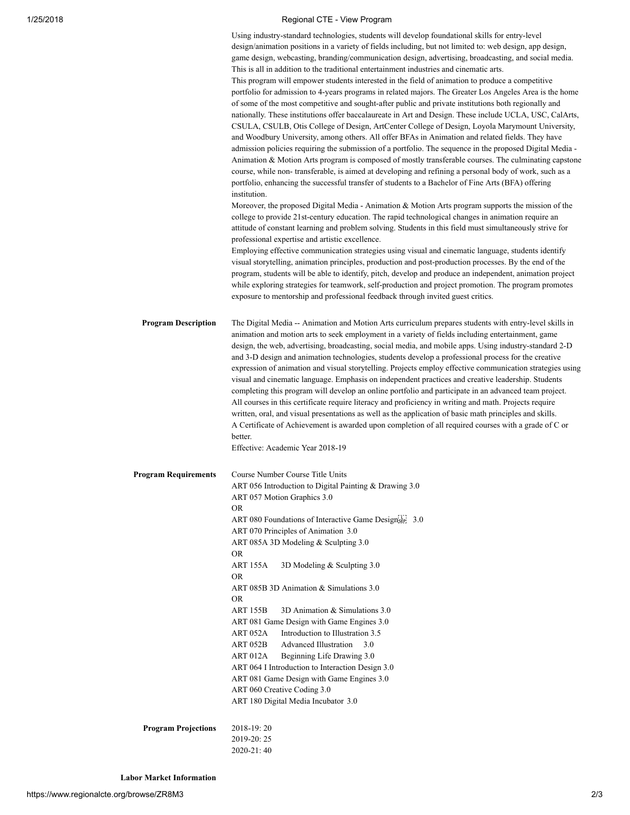## 1/25/2018 Regional CTE - View Program

|                             | Using industry-standard technologies, students will develop foundational skills for entry-level<br>design/animation positions in a variety of fields including, but not limited to: web design, app design,<br>game design, webcasting, branding/communication design, advertising, broadcasting, and social media.<br>This is all in addition to the traditional entertainment industries and cinematic arts.<br>This program will empower students interested in the field of animation to produce a competitive<br>portfolio for admission to 4-years programs in related majors. The Greater Los Angeles Area is the home<br>of some of the most competitive and sought-after public and private institutions both regionally and<br>nationally. These institutions offer baccalaureate in Art and Design. These include UCLA, USC, CalArts,<br>CSULA, CSULB, Otis College of Design, ArtCenter College of Design, Loyola Marymount University,<br>and Woodbury University, among others. All offer BFAs in Animation and related fields. They have<br>admission policies requiring the submission of a portfolio. The sequence in the proposed Digital Media -<br>Animation & Motion Arts program is composed of mostly transferable courses. The culminating capstone<br>course, while non- transferable, is aimed at developing and refining a personal body of work, such as a<br>portfolio, enhancing the successful transfer of students to a Bachelor of Fine Arts (BFA) offering<br>institution.<br>Moreover, the proposed Digital Media - Animation & Motion Arts program supports the mission of the<br>college to provide 21st-century education. The rapid technological changes in animation require an<br>attitude of constant learning and problem solving. Students in this field must simultaneously strive for<br>professional expertise and artistic excellence.<br>Employing effective communication strategies using visual and cinematic language, students identify |
|-----------------------------|------------------------------------------------------------------------------------------------------------------------------------------------------------------------------------------------------------------------------------------------------------------------------------------------------------------------------------------------------------------------------------------------------------------------------------------------------------------------------------------------------------------------------------------------------------------------------------------------------------------------------------------------------------------------------------------------------------------------------------------------------------------------------------------------------------------------------------------------------------------------------------------------------------------------------------------------------------------------------------------------------------------------------------------------------------------------------------------------------------------------------------------------------------------------------------------------------------------------------------------------------------------------------------------------------------------------------------------------------------------------------------------------------------------------------------------------------------------------------------------------------------------------------------------------------------------------------------------------------------------------------------------------------------------------------------------------------------------------------------------------------------------------------------------------------------------------------------------------------------------------------------------------------------------------------------------------------------------------------------------------|
|                             | visual storytelling, animation principles, production and post-production processes. By the end of the<br>program, students will be able to identify, pitch, develop and produce an independent, animation project<br>while exploring strategies for teamwork, self-production and project promotion. The program promotes<br>exposure to mentorship and professional feedback through invited guest critics.                                                                                                                                                                                                                                                                                                                                                                                                                                                                                                                                                                                                                                                                                                                                                                                                                                                                                                                                                                                                                                                                                                                                                                                                                                                                                                                                                                                                                                                                                                                                                                                  |
| <b>Program Description</b>  | The Digital Media -- Animation and Motion Arts curriculum prepares students with entry-level skills in<br>animation and motion arts to seek employment in a variety of fields including entertainment, game<br>design, the web, advertising, broadcasting, social media, and mobile apps. Using industry-standard 2-D<br>and 3-D design and animation technologies, students develop a professional process for the creative<br>expression of animation and visual storytelling. Projects employ effective communication strategies using<br>visual and cinematic language. Emphasis on independent practices and creative leadership. Students<br>completing this program will develop an online portfolio and participate in an advanced team project.<br>All courses in this certificate require literacy and proficiency in writing and math. Projects require<br>written, oral, and visual presentations as well as the application of basic math principles and skills.<br>A Certificate of Achievement is awarded upon completion of all required courses with a grade of C or<br>better.<br>Effective: Academic Year 2018-19                                                                                                                                                                                                                                                                                                                                                                                                                                                                                                                                                                                                                                                                                                                                                                                                                                                           |
| <b>Program Requirements</b> | Course Number Course Title Units<br>ART 056 Introduction to Digital Painting & Drawing 3.0<br>ART 057 Motion Graphics 3.0<br><b>OR</b><br>ART 080 Foundations of Interactive Game Designsen 3.0<br>ART 070 Principles of Animation 3.0<br>ART 085A 3D Modeling & Sculpting 3.0<br><b>OR</b><br>ART 155A<br>3D Modeling & Sculpting 3.0<br>OR.<br>ART 085B 3D Animation & Simulations 3.0<br><b>OR</b><br><b>ART 155B</b><br>3D Animation & Simulations 3.0<br>ART 081 Game Design with Game Engines 3.0<br>ART 052A<br>Introduction to Illustration 3.5<br>3.0<br>ART 052B<br><b>Advanced Illustration</b><br>ART 012A<br>Beginning Life Drawing 3.0<br>ART 064 I Introduction to Interaction Design 3.0<br>ART 081 Game Design with Game Engines 3.0<br>ART 060 Creative Coding 3.0<br>ART 180 Digital Media Incubator 3.0                                                                                                                                                                                                                                                                                                                                                                                                                                                                                                                                                                                                                                                                                                                                                                                                                                                                                                                                                                                                                                                                                                                                                                    |
| <b>Program Projections</b>  | 2018-19:20<br>2019-20:25<br>2020-21:40                                                                                                                                                                                                                                                                                                                                                                                                                                                                                                                                                                                                                                                                                                                                                                                                                                                                                                                                                                                                                                                                                                                                                                                                                                                                                                                                                                                                                                                                                                                                                                                                                                                                                                                                                                                                                                                                                                                                                         |

Labor Market Information